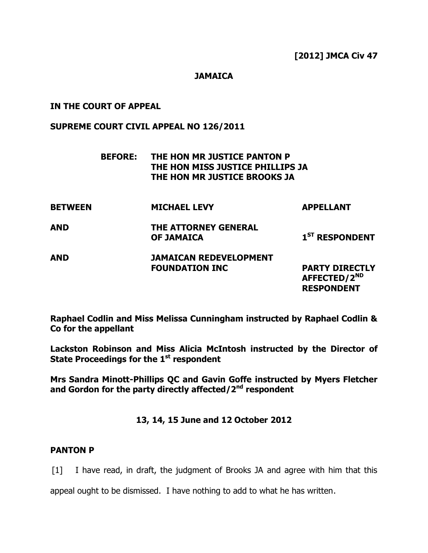## **JAMAICA**

# **IN THE COURT OF APPEAL**

#### **SUPREME COURT CIVIL APPEAL NO 126/2011**

|                | <b>BEFORE:</b> | THE HON MR JUSTICE PANTON P<br>THE HON MISS JUSTICE PHILLIPS JA<br>THE HON MR JUSTICE BROOKS JA |                                                                        |
|----------------|----------------|-------------------------------------------------------------------------------------------------|------------------------------------------------------------------------|
| <b>BETWEEN</b> |                | <b>MICHAEL LEVY</b>                                                                             | <b>APPELLANT</b>                                                       |
| AND            |                | THE ATTORNEY GENERAL<br><b>OF JAMAICA</b>                                                       | 1 <sup>ST</sup> RESPONDENT                                             |
| AND            |                | <b>JAMAICAN REDEVELOPMENT</b><br><b>FOUNDATION INC</b>                                          | <b>PARTY DIRECTLY</b><br>AFFECTED/2 <sup>ND</sup><br><b>RESPONDENT</b> |

**Raphael Codlin and Miss Melissa Cunningham instructed by Raphael Codlin & Co for the appellant**

**Lackston Robinson and Miss Alicia McIntosh instructed by the Director of State Proceedings for the 1 st respondent**

**Mrs Sandra Minott-Phillips QC and Gavin Goffe instructed by Myers Fletcher and Gordon for the party directly affected/2nd respondent**

**13, 14, 15 June and 12 October 2012**

### **PANTON P**

[1] I have read, in draft, the judgment of Brooks JA and agree with him that this

appeal ought to be dismissed. I have nothing to add to what he has written.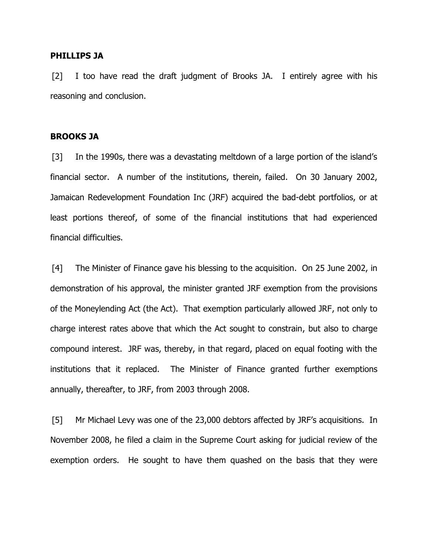#### **PHILLIPS JA**

[2] I too have read the draft judgment of Brooks JA. I entirely agree with his reasoning and conclusion.

#### **BROOKS JA**

[3] In the 1990s, there was a devastating meltdown of a large portion of the island's financial sector. A number of the institutions, therein, failed. On 30 January 2002, Jamaican Redevelopment Foundation Inc (JRF) acquired the bad-debt portfolios, or at least portions thereof, of some of the financial institutions that had experienced financial difficulties.

[4] The Minister of Finance gave his blessing to the acquisition. On 25 June 2002, in demonstration of his approval, the minister granted JRF exemption from the provisions of the Moneylending Act (the Act). That exemption particularly allowed JRF, not only to charge interest rates above that which the Act sought to constrain, but also to charge compound interest. JRF was, thereby, in that regard, placed on equal footing with the institutions that it replaced. The Minister of Finance granted further exemptions annually, thereafter, to JRF, from 2003 through 2008.

[5] Mr Michael Levy was one of the 23,000 debtors affected by JRF's acquisitions. In November 2008, he filed a claim in the Supreme Court asking for judicial review of the exemption orders. He sought to have them quashed on the basis that they were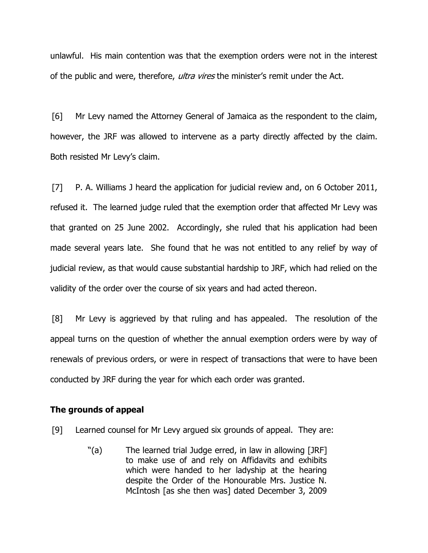unlawful. His main contention was that the exemption orders were not in the interest of the public and were, therefore, *ultra vires* the minister's remit under the Act.

[6] Mr Levy named the Attorney General of Jamaica as the respondent to the claim, however, the JRF was allowed to intervene as a party directly affected by the claim. Both resisted Mr Levy's claim.

[7] P. A. Williams J heard the application for judicial review and, on 6 October 2011, refused it. The learned judge ruled that the exemption order that affected Mr Levy was that granted on 25 June 2002. Accordingly, she ruled that his application had been made several years late. She found that he was not entitled to any relief by way of judicial review, as that would cause substantial hardship to JRF, which had relied on the validity of the order over the course of six years and had acted thereon.

[8] Mr Levy is aggrieved by that ruling and has appealed. The resolution of the appeal turns on the question of whether the annual exemption orders were by way of renewals of previous orders, or were in respect of transactions that were to have been conducted by JRF during the year for which each order was granted.

#### **The grounds of appeal**

- [9] Learned counsel for Mr Levy argued six grounds of appeal. They are:
	- "(a) The learned trial Judge erred, in law in allowing [JRF] to make use of and rely on Affidavits and exhibits which were handed to her ladyship at the hearing despite the Order of the Honourable Mrs. Justice N. McIntosh [as she then was] dated December 3, 2009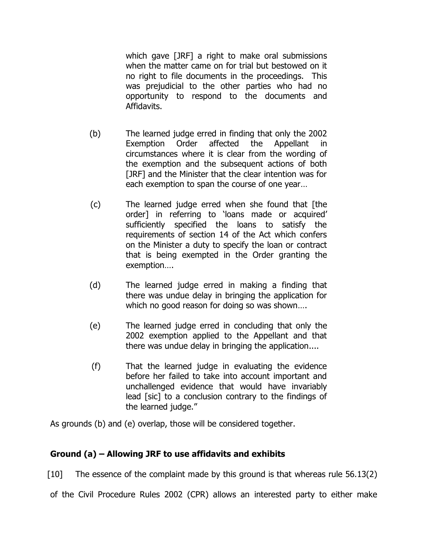which gave [JRF] a right to make oral submissions when the matter came on for trial but bestowed on it no right to file documents in the proceedings. This was prejudicial to the other parties who had no opportunity to respond to the documents and Affidavits.

- (b) The learned judge erred in finding that only the 2002 Exemption Order affected the Appellant circumstances where it is clear from the wording of the exemption and the subsequent actions of both [JRF] and the Minister that the clear intention was for each exemption to span the course of one year…
- (c) The learned judge erred when she found that [the order] in referring to 'loans made or acquired' sufficiently specified the loans to satisfy the requirements of section 14 of the Act which confers on the Minister a duty to specify the loan or contract that is being exempted in the Order granting the exemption….
- (d) The learned judge erred in making a finding that there was undue delay in bringing the application for which no good reason for doing so was shown….
- (e) The learned judge erred in concluding that only the 2002 exemption applied to the Appellant and that there was undue delay in bringing the application....
- (f) That the learned judge in evaluating the evidence before her failed to take into account important and unchallenged evidence that would have invariably lead [sic] to a conclusion contrary to the findings of the learned judge."

As grounds (b) and (e) overlap, those will be considered together.

# **Ground (a) – Allowing JRF to use affidavits and exhibits**

[10] The essence of the complaint made by this ground is that whereas rule 56.13(2)

of the Civil Procedure Rules 2002 (CPR) allows an interested party to either make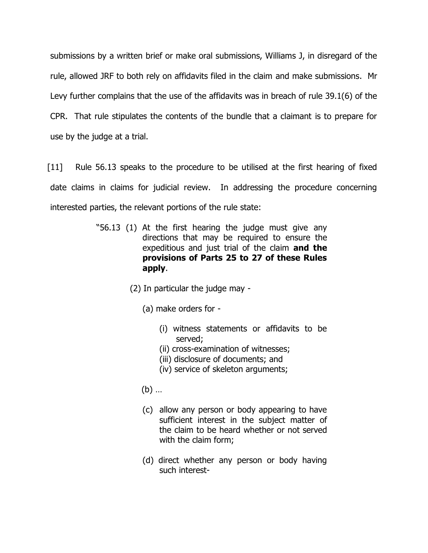submissions by a written brief or make oral submissions, Williams J, in disregard of the rule, allowed JRF to both rely on affidavits filed in the claim and make submissions. Mr Levy further complains that the use of the affidavits was in breach of rule 39.1(6) of the CPR. That rule stipulates the contents of the bundle that a claimant is to prepare for use by the judge at a trial.

[11] Rule 56.13 speaks to the procedure to be utilised at the first hearing of fixed date claims in claims for judicial review. In addressing the procedure concerning interested parties, the relevant portions of the rule state:

- "56.13 (1) At the first hearing the judge must give any directions that may be required to ensure the expeditious and just trial of the claim **and the provisions of Parts 25 to 27 of these Rules apply**.
	- (2) In particular the judge may
		- (a) make orders for
			- (i) witness statements or affidavits to be served;
			- (ii) cross-examination of witnesses;
			- (iii) disclosure of documents; and
			- (iv) service of skeleton arguments;
		- (b) …
		- (c) allow any person or body appearing to have sufficient interest in the subject matter of the claim to be heard whether or not served with the claim form;
		- (d) direct whether any person or body having such interest-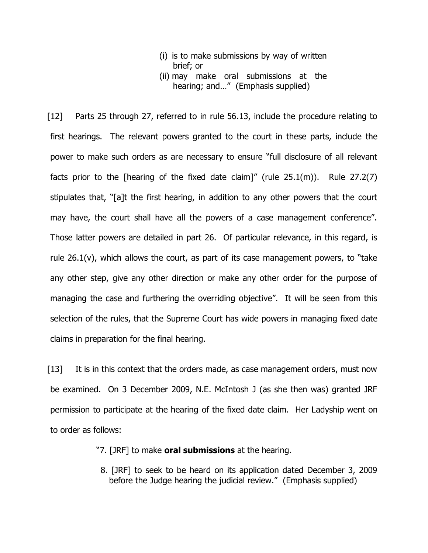- (i) is to make submissions by way of written brief; or
- (ii) may make oral submissions at the hearing; and…" (Emphasis supplied)

[12] Parts 25 through 27, referred to in rule 56.13, include the procedure relating to first hearings. The relevant powers granted to the court in these parts, include the power to make such orders as are necessary to ensure "full disclosure of all relevant facts prior to the [hearing of the fixed date claim]" (rule  $25.1(m)$ ). Rule  $27.2(7)$ stipulates that, "[a]t the first hearing, in addition to any other powers that the court may have, the court shall have all the powers of a case management conference". Those latter powers are detailed in part 26. Of particular relevance, in this regard, is rule  $26.1(v)$ , which allows the court, as part of its case management powers, to "take any other step, give any other direction or make any other order for the purpose of managing the case and furthering the overriding objective". It will be seen from this selection of the rules, that the Supreme Court has wide powers in managing fixed date claims in preparation for the final hearing.

[13] It is in this context that the orders made, as case management orders, must now be examined. On 3 December 2009, N.E. McIntosh J (as she then was) granted JRF permission to participate at the hearing of the fixed date claim. Her Ladyship went on to order as follows:

- "7. [JRF] to make **oral submissions** at the hearing.
	- 8. [JRF] to seek to be heard on its application dated December 3, 2009 before the Judge hearing the judicial review." (Emphasis supplied)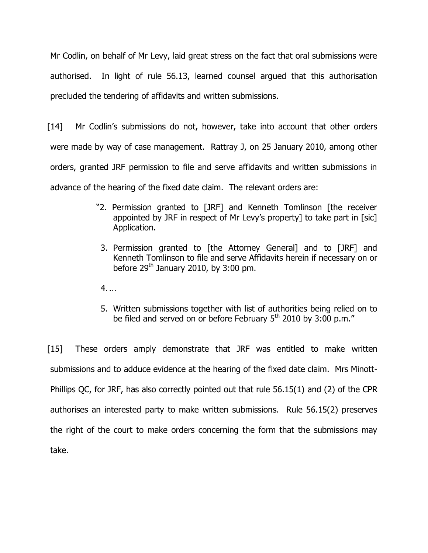Mr Codlin, on behalf of Mr Levy, laid great stress on the fact that oral submissions were authorised. In light of rule 56.13, learned counsel argued that this authorisation precluded the tendering of affidavits and written submissions.

[14] Mr Codlin's submissions do not, however, take into account that other orders were made by way of case management. Rattray J, on 25 January 2010, among other orders, granted JRF permission to file and serve affidavits and written submissions in advance of the hearing of the fixed date claim. The relevant orders are:

- "2. Permission granted to [JRF] and Kenneth Tomlinson [the receiver appointed by JRF in respect of Mr Levy's property] to take part in [sic] Application.
	- 3. Permission granted to [the Attorney General] and to [JRF] and Kenneth Tomlinson to file and serve Affidavits herein if necessary on or before  $29<sup>th</sup>$  January 2010, by 3:00 pm.
- 4. ...
- 5. Written submissions together with list of authorities being relied on to be filed and served on or before February  $5<sup>th</sup>$  2010 by 3:00 p.m."

[15] These orders amply demonstrate that JRF was entitled to make written submissions and to adduce evidence at the hearing of the fixed date claim. Mrs Minott-Phillips QC, for JRF, has also correctly pointed out that rule 56.15(1) and (2) of the CPR authorises an interested party to make written submissions. Rule 56.15(2) preserves the right of the court to make orders concerning the form that the submissions may take.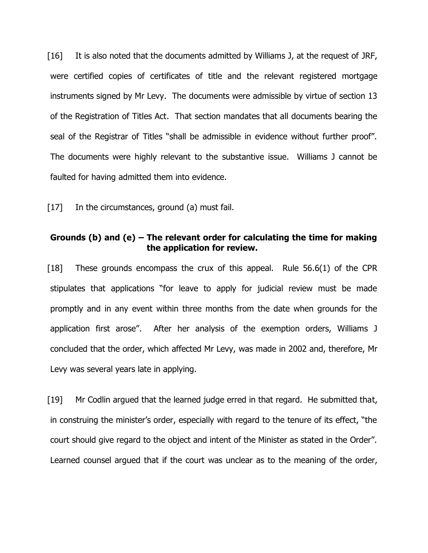[16] It is also noted that the documents admitted by Williams J, at the request of JRF, were certified copies of certificates of title and the relevant registered mortgage instruments signed by Mr Levy. The documents were admissible by virtue of section 13 of the Registration of Titles Act. That section mandates that all documents bearing the seal of the Registrar of Titles "shall be admissible in evidence without further proof". The documents were highly relevant to the substantive issue. Williams J cannot be faulted for having admitted them into evidence.

[17] In the circumstances, ground (a) must fail.

## **Grounds (b) and (e) – The relevant order for calculating the time for making the application for review.**

[18] These grounds encompass the crux of this appeal. Rule 56.6(1) of the CPR stipulates that applications "for leave to apply for judicial review must be made promptly and in any event within three months from the date when grounds for the application first arose". After her analysis of the exemption orders, Williams J concluded that the order, which affected Mr Levy, was made in 2002 and, therefore, Mr Levy was several years late in applying.

[19] Mr Codlin argued that the learned judge erred in that regard. He submitted that, in construing the minister's order, especially with regard to the tenure of its effect, "the court should give regard to the object and intent of the Minister as stated in the Order". Learned counsel argued that if the court was unclear as to the meaning of the order,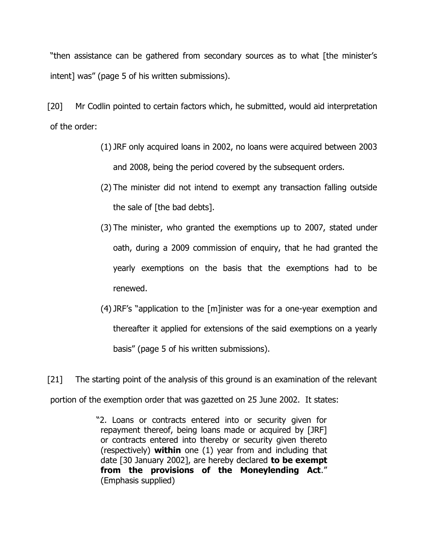"then assistance can be gathered from secondary sources as to what [the minister's intent] was" (page 5 of his written submissions).

[20] Mr Codlin pointed to certain factors which, he submitted, would aid interpretation of the order:

- (1) JRF only acquired loans in 2002, no loans were acquired between 2003 and 2008, being the period covered by the subsequent orders.
- (2) The minister did not intend to exempt any transaction falling outside the sale of [the bad debts].
- (3) The minister, who granted the exemptions up to 2007, stated under oath, during a 2009 commission of enquiry, that he had granted the yearly exemptions on the basis that the exemptions had to be renewed.
- (4) JRF's "application to the [m]inister was for a one-year exemption and thereafter it applied for extensions of the said exemptions on a yearly basis" (page 5 of his written submissions).

[21] The starting point of the analysis of this ground is an examination of the relevant portion of the exemption order that was gazetted on 25 June 2002. It states:

> "2. Loans or contracts entered into or security given for repayment thereof, being loans made or acquired by [JRF] or contracts entered into thereby or security given thereto (respectively) **within** one (1) year from and including that date [30 January 2002], are hereby declared **to be exempt from the provisions of the Moneylending Act**." (Emphasis supplied)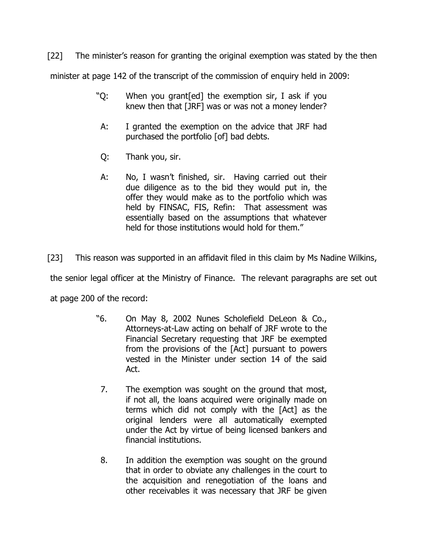[22] The minister's reason for granting the original exemption was stated by the then

minister at page 142 of the transcript of the commission of enquiry held in 2009:

- "Q: When you grant[ed] the exemption sir, I ask if you knew then that [JRF] was or was not a money lender?
- A: I granted the exemption on the advice that JRF had purchased the portfolio [of] bad debts.
- Q: Thank you, sir.
- A: No, I wasn't finished, sir. Having carried out their due diligence as to the bid they would put in, the offer they would make as to the portfolio which was held by FINSAC, FIS, Refin: That assessment was essentially based on the assumptions that whatever held for those institutions would hold for them."

[23] This reason was supported in an affidavit filed in this claim by Ms Nadine Wilkins,

the senior legal officer at the Ministry of Finance. The relevant paragraphs are set out

at page 200 of the record:

- "6. On May 8, 2002 Nunes Scholefield DeLeon & Co., Attorneys-at-Law acting on behalf of JRF wrote to the Financial Secretary requesting that JRF be exempted from the provisions of the [Act] pursuant to powers vested in the Minister under section 14 of the said Act.
- 7. The exemption was sought on the ground that most, if not all, the loans acquired were originally made on terms which did not comply with the [Act] as the original lenders were all automatically exempted under the Act by virtue of being licensed bankers and financial institutions.
- 8. In addition the exemption was sought on the ground that in order to obviate any challenges in the court to the acquisition and renegotiation of the loans and other receivables it was necessary that JRF be given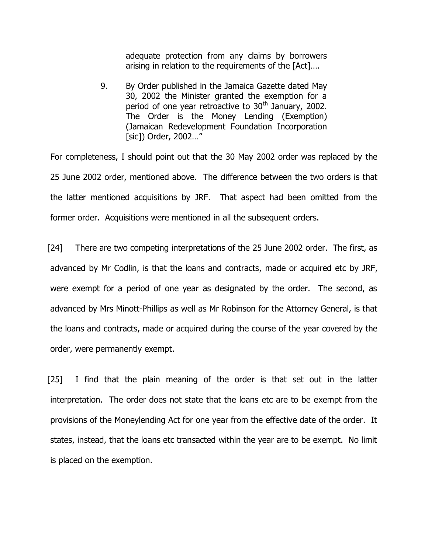adequate protection from any claims by borrowers arising in relation to the requirements of the [Act]….

9. By Order published in the Jamaica Gazette dated May 30, 2002 the Minister granted the exemption for a period of one year retroactive to 30<sup>th</sup> January, 2002. The Order is the Money Lending (Exemption) (Jamaican Redevelopment Foundation Incorporation [sic]) Order, 2002…"

For completeness, I should point out that the 30 May 2002 order was replaced by the 25 June 2002 order, mentioned above. The difference between the two orders is that the latter mentioned acquisitions by JRF. That aspect had been omitted from the former order. Acquisitions were mentioned in all the subsequent orders.

[24] There are two competing interpretations of the 25 June 2002 order. The first, as advanced by Mr Codlin, is that the loans and contracts, made or acquired etc by JRF, were exempt for a period of one year as designated by the order. The second, as advanced by Mrs Minott-Phillips as well as Mr Robinson for the Attorney General, is that the loans and contracts, made or acquired during the course of the year covered by the order, were permanently exempt.

[25] I find that the plain meaning of the order is that set out in the latter interpretation. The order does not state that the loans etc are to be exempt from the provisions of the Moneylending Act for one year from the effective date of the order. It states, instead, that the loans etc transacted within the year are to be exempt. No limit is placed on the exemption.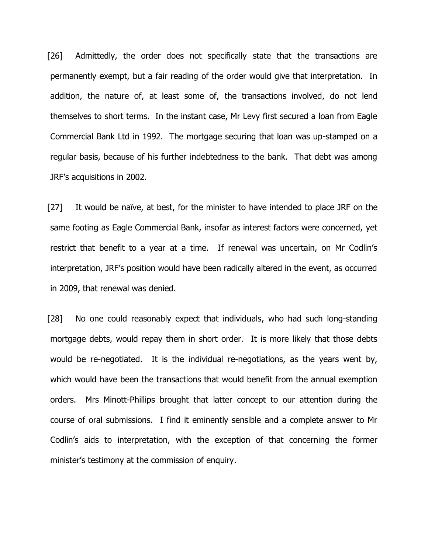[26] Admittedly, the order does not specifically state that the transactions are permanently exempt, but a fair reading of the order would give that interpretation. In addition, the nature of, at least some of, the transactions involved, do not lend themselves to short terms. In the instant case, Mr Levy first secured a loan from Eagle Commercial Bank Ltd in 1992. The mortgage securing that loan was up-stamped on a regular basis, because of his further indebtedness to the bank. That debt was among JRF's acquisitions in 2002.

[27] It would be naïve, at best, for the minister to have intended to place JRF on the same footing as Eagle Commercial Bank, insofar as interest factors were concerned, yet restrict that benefit to a year at a time. If renewal was uncertain, on Mr Codlin's interpretation, JRF's position would have been radically altered in the event, as occurred in 2009, that renewal was denied.

[28] No one could reasonably expect that individuals, who had such long-standing mortgage debts, would repay them in short order. It is more likely that those debts would be re-negotiated. It is the individual re-negotiations, as the years went by, which would have been the transactions that would benefit from the annual exemption orders. Mrs Minott-Phillips brought that latter concept to our attention during the course of oral submissions. I find it eminently sensible and a complete answer to Mr Codlin's aids to interpretation, with the exception of that concerning the former minister's testimony at the commission of enquiry.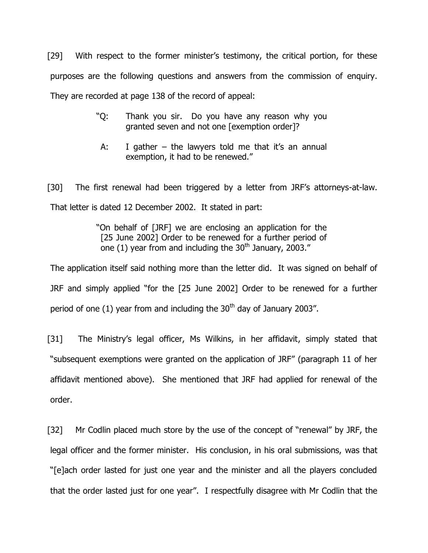[29] With respect to the former minister's testimony, the critical portion, for these purposes are the following questions and answers from the commission of enquiry. They are recorded at page 138 of the record of appeal:

- "Q: Thank you sir. Do you have any reason why you granted seven and not one [exemption order]?
- A: I gather  $-$  the lawyers told me that it's an annual exemption, it had to be renewed."

[30] The first renewal had been triggered by a letter from JRF's attorneys-at-law. That letter is dated 12 December 2002. It stated in part:

> "On behalf of [JRF] we are enclosing an application for the [25 June 2002] Order to be renewed for a further period of one  $(1)$  year from and including the 30<sup>th</sup> January, 2003."

The application itself said nothing more than the letter did. It was signed on behalf of JRF and simply applied "for the [25 June 2002] Order to be renewed for a further period of one (1) year from and including the  $30<sup>th</sup>$  day of January 2003".

[31] The Ministry's legal officer, Ms Wilkins, in her affidavit, simply stated that "subsequent exemptions were granted on the application of JRF" (paragraph 11 of her affidavit mentioned above). She mentioned that JRF had applied for renewal of the order.

[32] Mr Codlin placed much store by the use of the concept of "renewal" by JRF, the legal officer and the former minister. His conclusion, in his oral submissions, was that "[e]ach order lasted for just one year and the minister and all the players concluded that the order lasted just for one year". I respectfully disagree with Mr Codlin that the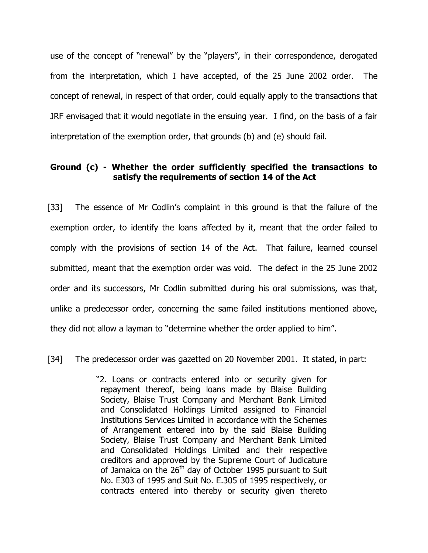use of the concept of "renewal" by the "players", in their correspondence, derogated from the interpretation, which I have accepted, of the 25 June 2002 order. The concept of renewal, in respect of that order, could equally apply to the transactions that JRF envisaged that it would negotiate in the ensuing year. I find, on the basis of a fair interpretation of the exemption order, that grounds (b) and (e) should fail.

# **Ground (c) - Whether the order sufficiently specified the transactions to satisfy the requirements of section 14 of the Act**

[33] The essence of Mr Codlin's complaint in this ground is that the failure of the exemption order, to identify the loans affected by it, meant that the order failed to comply with the provisions of section 14 of the Act. That failure, learned counsel submitted, meant that the exemption order was void. The defect in the 25 June 2002 order and its successors, Mr Codlin submitted during his oral submissions, was that, unlike a predecessor order, concerning the same failed institutions mentioned above, they did not allow a layman to "determine whether the order applied to him".

[34] The predecessor order was gazetted on 20 November 2001. It stated, in part:

"2. Loans or contracts entered into or security given for repayment thereof, being loans made by Blaise Building Society, Blaise Trust Company and Merchant Bank Limited and Consolidated Holdings Limited assigned to Financial Institutions Services Limited in accordance with the Schemes of Arrangement entered into by the said Blaise Building Society, Blaise Trust Company and Merchant Bank Limited and Consolidated Holdings Limited and their respective creditors and approved by the Supreme Court of Judicature of Jamaica on the 26<sup>th</sup> day of October 1995 pursuant to Suit No. E303 of 1995 and Suit No. E.305 of 1995 respectively, or contracts entered into thereby or security given thereto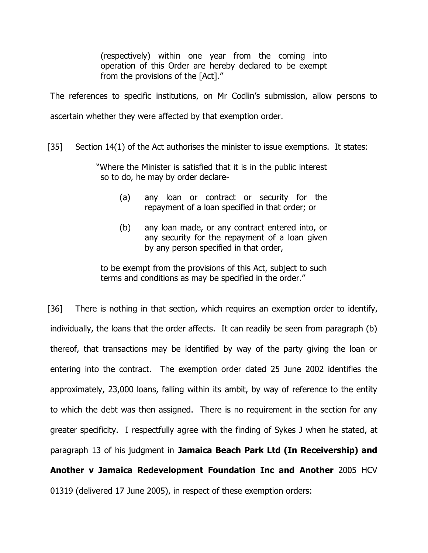(respectively) within one year from the coming into operation of this Order are hereby declared to be exempt from the provisions of the [Act]."

The references to specific institutions, on Mr Codlin's submission, allow persons to ascertain whether they were affected by that exemption order.

[35] Section 14(1) of the Act authorises the minister to issue exemptions. It states:

"Where the Minister is satisfied that it is in the public interest so to do, he may by order declare-

- (a) any loan or contract or security for the repayment of a loan specified in that order; or
- (b) any loan made, or any contract entered into, or any security for the repayment of a loan given by any person specified in that order,

to be exempt from the provisions of this Act, subject to such terms and conditions as may be specified in the order."

[36] There is nothing in that section, which requires an exemption order to identify, individually, the loans that the order affects. It can readily be seen from paragraph (b) thereof, that transactions may be identified by way of the party giving the loan or entering into the contract. The exemption order dated 25 June 2002 identifies the approximately, 23,000 loans, falling within its ambit, by way of reference to the entity to which the debt was then assigned. There is no requirement in the section for any greater specificity. I respectfully agree with the finding of Sykes J when he stated, at paragraph 13 of his judgment in **Jamaica Beach Park Ltd (In Receivership) and Another v Jamaica Redevelopment Foundation Inc and Another** 2005 HCV 01319 (delivered 17 June 2005), in respect of these exemption orders: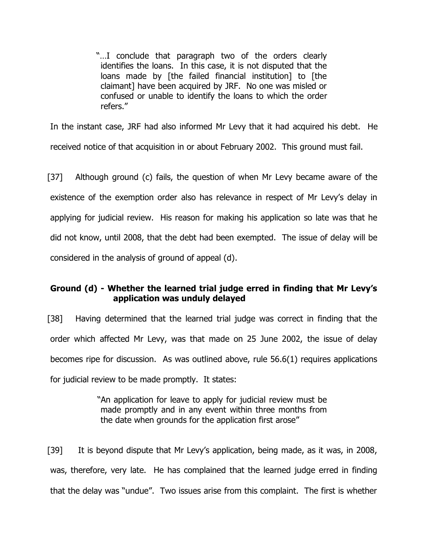"…I conclude that paragraph two of the orders clearly identifies the loans. In this case, it is not disputed that the loans made by [the failed financial institution] to [the claimant] have been acquired by JRF. No one was misled or confused or unable to identify the loans to which the order refers."

In the instant case, JRF had also informed Mr Levy that it had acquired his debt. He received notice of that acquisition in or about February 2002. This ground must fail.

[37] Although ground (c) fails, the question of when Mr Levy became aware of the existence of the exemption order also has relevance in respect of Mr Levy's delay in applying for judicial review. His reason for making his application so late was that he did not know, until 2008, that the debt had been exempted. The issue of delay will be considered in the analysis of ground of appeal (d).

# **Ground (d) - Whether the learned trial judge erred in finding that Mr Levy's application was unduly delayed**

[38] Having determined that the learned trial judge was correct in finding that the order which affected Mr Levy, was that made on 25 June 2002, the issue of delay becomes ripe for discussion. As was outlined above, rule 56.6(1) requires applications for judicial review to be made promptly. It states:

> "An application for leave to apply for judicial review must be made promptly and in any event within three months from the date when grounds for the application first arose"

[39] It is beyond dispute that Mr Levy's application, being made, as it was, in 2008, was, therefore, very late. He has complained that the learned judge erred in finding that the delay was "undue". Two issues arise from this complaint. The first is whether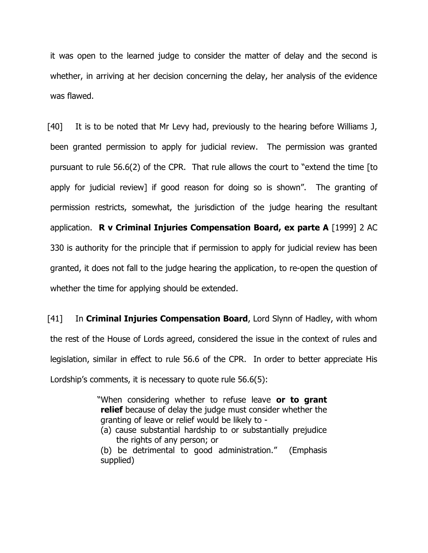it was open to the learned judge to consider the matter of delay and the second is whether, in arriving at her decision concerning the delay, her analysis of the evidence was flawed.

[40] It is to be noted that Mr Levy had, previously to the hearing before Williams J, been granted permission to apply for judicial review. The permission was granted pursuant to rule 56.6(2) of the CPR. That rule allows the court to "extend the time [to apply for judicial review] if good reason for doing so is shown". The granting of permission restricts, somewhat, the jurisdiction of the judge hearing the resultant application. **R v Criminal Injuries Compensation Board, ex parte A** [1999] 2 AC 330 is authority for the principle that if permission to apply for judicial review has been granted, it does not fall to the judge hearing the application, to re-open the question of whether the time for applying should be extended.

[41] In **Criminal Injuries Compensation Board**, Lord Slynn of Hadley, with whom the rest of the House of Lords agreed, considered the issue in the context of rules and legislation, similar in effect to rule 56.6 of the CPR. In order to better appreciate His Lordship's comments, it is necessary to quote rule 56.6(5):

> "When considering whether to refuse leave **or to grant relief** because of delay the judge must consider whether the granting of leave or relief would be likely to -

(a) cause substantial hardship to or substantially prejudice the rights of any person; or

(b) be detrimental to good administration." (Emphasis supplied)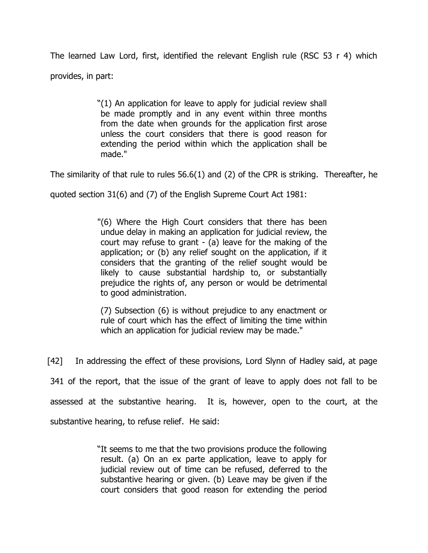The learned Law Lord, first, identified the relevant English rule (RSC 53 r 4) which provides, in part:

> "(1) An application for leave to apply for judicial review shall be made promptly and in any event within three months from the date when grounds for the application first arose unless the court considers that there is good reason for extending the period within which the application shall be made."

The similarity of that rule to rules 56.6(1) and (2) of the CPR is striking. Thereafter, he

quoted section 31(6) and (7) of the English Supreme Court Act 1981:

"(6) Where the High Court considers that there has been undue delay in making an application for judicial review, the court may refuse to grant - (a) leave for the making of the application; or (b) any relief sought on the application, if it considers that the granting of the relief sought would be likely to cause substantial hardship to, or substantially prejudice the rights of, any person or would be detrimental to good administration.

(7) Subsection (6) is without prejudice to any enactment or rule of court which has the effect of limiting the time within which an application for judicial review may be made."

[42] In addressing the effect of these provisions, Lord Slynn of Hadley said, at page 341 of the report, that the issue of the grant of leave to apply does not fall to be assessed at the substantive hearing. It is, however, open to the court, at the substantive hearing, to refuse relief. He said:

> "It seems to me that the two provisions produce the following result. (a) On an ex parte application, leave to apply for judicial review out of time can be refused, deferred to the substantive hearing or given. (b) Leave may be given if the court considers that good reason for extending the period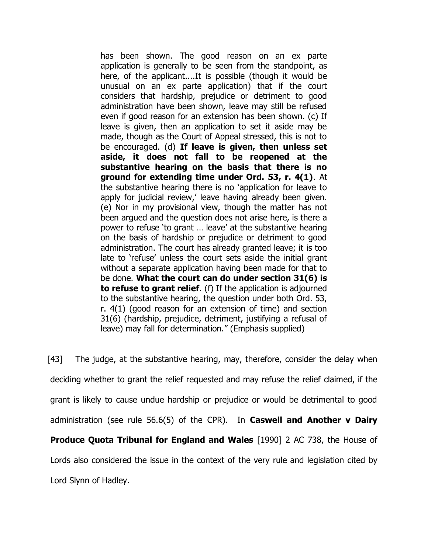has been shown. The good reason on an ex parte application is generally to be seen from the standpoint, as here, of the applicant....It is possible (though it would be unusual on an ex parte application) that if the court considers that hardship, prejudice or detriment to good administration have been shown, leave may still be refused even if good reason for an extension has been shown. (c) If leave is given, then an application to set it aside may be made, though as the Court of Appeal stressed, this is not to be encouraged. (d) **If leave is given, then unless set aside, it does not fall to be reopened at the substantive hearing on the basis that there is no ground for extending time under Ord. 53, r. 4(1)**. At the substantive hearing there is no 'application for leave to apply for judicial review,' leave having already been given. (e) Nor in my provisional view, though the matter has not been argued and the question does not arise here, is there a power to refuse 'to grant … leave' at the substantive hearing on the basis of hardship or prejudice or detriment to good administration. The court has already granted leave; it is too late to 'refuse' unless the court sets aside the initial grant without a separate application having been made for that to be done. **What the court can do under section 31(6) is to refuse to grant relief**. (f) If the application is adjourned to the substantive hearing, the question under both Ord. 53, r. 4(1) (good reason for an extension of time) and section 31(6) (hardship, prejudice, detriment, justifying a refusal of leave) may fall for determination." (Emphasis supplied)

[43] The judge, at the substantive hearing, may, therefore, consider the delay when deciding whether to grant the relief requested and may refuse the relief claimed, if the grant is likely to cause undue hardship or prejudice or would be detrimental to good administration (see rule 56.6(5) of the CPR). In **Caswell and Another v Dairy Produce Quota Tribunal for England and Wales** [1990] 2 AC 738, the House of Lords also considered the issue in the context of the very rule and legislation cited by Lord Slynn of Hadley.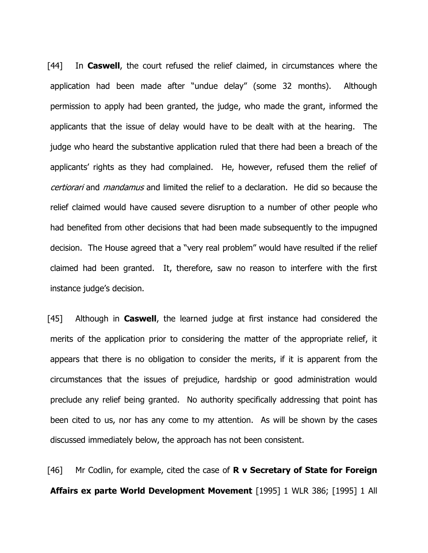[44] In **Caswell**, the court refused the relief claimed, in circumstances where the application had been made after "undue delay" (some 32 months). Although permission to apply had been granted, the judge, who made the grant, informed the applicants that the issue of delay would have to be dealt with at the hearing. The judge who heard the substantive application ruled that there had been a breach of the applicants' rights as they had complained. He, however, refused them the relief of certiorari and *mandamus* and limited the relief to a declaration. He did so because the relief claimed would have caused severe disruption to a number of other people who had benefited from other decisions that had been made subsequently to the impugned decision. The House agreed that a "very real problem" would have resulted if the relief claimed had been granted. It, therefore, saw no reason to interfere with the first instance judge's decision.

[45] Although in **Caswell**, the learned judge at first instance had considered the merits of the application prior to considering the matter of the appropriate relief, it appears that there is no obligation to consider the merits, if it is apparent from the circumstances that the issues of prejudice, hardship or good administration would preclude any relief being granted. No authority specifically addressing that point has been cited to us, nor has any come to my attention. As will be shown by the cases discussed immediately below, the approach has not been consistent.

[46] Mr Codlin, for example, cited the case of **R v Secretary of State for Foreign Affairs ex parte World Development Movement** [1995] 1 WLR 386; [1995] 1 All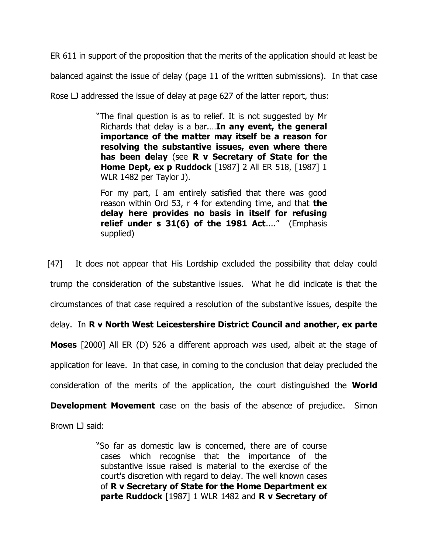ER 611 in support of the proposition that the merits of the application should at least be

balanced against the issue of delay (page 11 of the written submissions). In that case

Rose LJ addressed the issue of delay at page 627 of the latter report, thus:

"The final question is as to relief. It is not suggested by Mr Richards that delay is a bar.…**In any event, the general importance of the matter may itself be a reason for resolving the substantive issues, even where there has been delay** (see **R v Secretary of State for the Home Dept, ex p Ruddock** [\[1987\] 2 All ER 518,](http://www.lexisnexis.com/uk/legal/search/enhRunRemoteLink.do?ersKey=23_T15568456482&langcountry=GB&backKey=20_T15568456489&linkInfo=F%23GB%23ALLER%23sel2%252%25year%251987%25page%25518%25sel1%251987%25vol%252%25&service=citation&A=0.43844381400213617) [1987] 1 WLR 1482 per Taylor J).

For my part, I am entirely satisfied that there was good reason within Ord 53, r 4 for extending time, and that **the delay here provides no basis in itself for refusing relief under s 31(6) of the 1981 Act**...." (Emphasis supplied)

[47] It does not appear that His Lordship excluded the possibility that delay could trump the consideration of the substantive issues. What he did indicate is that the circumstances of that case required a resolution of the substantive issues, despite the delay. In **R v North West Leicestershire District Council and another, ex parte Moses** [2000] All ER (D) 526 a different approach was used, albeit at the stage of application for leave. In that case, in coming to the conclusion that delay precluded the consideration of the merits of the application, the court distinguished the **World Development Movement** case on the basis of the absence of prejudice. Simon Brown LJ said:

> "So far as domestic law is concerned, there are of course cases which recognise that the importance of the substantive issue raised is material to the exercise of the court's discretion with regard to delay. The well known cases of **R v Secretary of State for the Home Department ex parte Ruddock** [1987] 1 WLR 1482 and **R v Secretary of**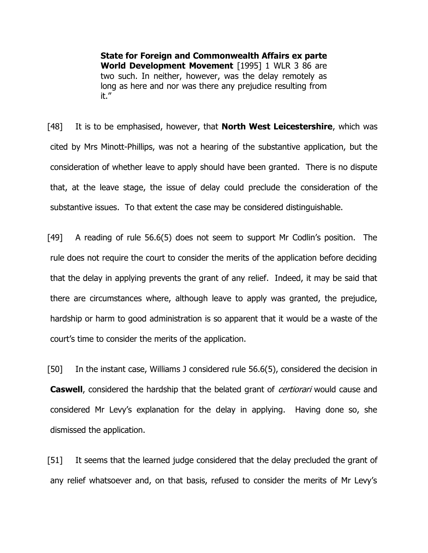**State for Foreign and Commonwealth Affairs ex parte World Development Movement** [1995] 1 WLR 3 86 are two such. In neither, however, was the delay remotely as long as here and nor was there any prejudice resulting from it."

[48] It is to be emphasised, however, that **North West Leicestershire**, which was cited by Mrs Minott-Phillips, was not a hearing of the substantive application, but the consideration of whether leave to apply should have been granted. There is no dispute that, at the leave stage, the issue of delay could preclude the consideration of the substantive issues. To that extent the case may be considered distinguishable.

[49] A reading of rule 56.6(5) does not seem to support Mr Codlin's position. The rule does not require the court to consider the merits of the application before deciding that the delay in applying prevents the grant of any relief. Indeed, it may be said that there are circumstances where, although leave to apply was granted, the prejudice, hardship or harm to good administration is so apparent that it would be a waste of the court's time to consider the merits of the application.

[50] In the instant case, Williams J considered rule 56.6(5), considered the decision in **Caswell**, considered the hardship that the belated grant of *certiorari* would cause and considered Mr Levy's explanation for the delay in applying. Having done so, she dismissed the application.

[51] It seems that the learned judge considered that the delay precluded the grant of any relief whatsoever and, on that basis, refused to consider the merits of Mr Levy's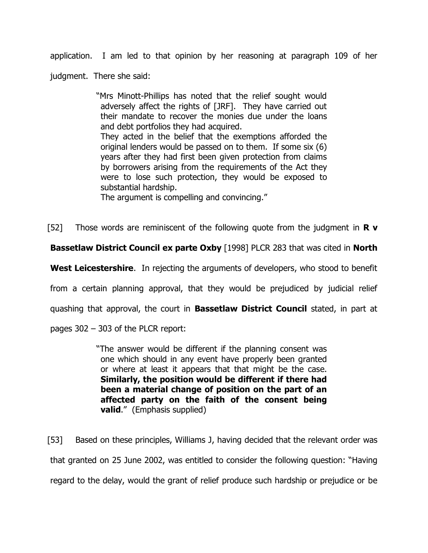application. I am led to that opinion by her reasoning at paragraph 109 of her

judgment. There she said:

"Mrs Minott-Phillips has noted that the relief sought would adversely affect the rights of [JRF]. They have carried out their mandate to recover the monies due under the loans and debt portfolios they had acquired.

They acted in the belief that the exemptions afforded the original lenders would be passed on to them. If some six (6) years after they had first been given protection from claims by borrowers arising from the requirements of the Act they were to lose such protection, they would be exposed to substantial hardship.

The argument is compelling and convincing."

[52] Those words are reminiscent of the following quote from the judgment in **R v** 

**Bassetlaw District Council ex parte Oxby** [1998] PLCR 283 that was cited in **North** 

**West Leicestershire**. In rejecting the arguments of developers, who stood to benefit

from a certain planning approval, that they would be prejudiced by judicial relief

quashing that approval, the court in **Bassetlaw District Council** stated, in part at

pages 302 – 303 of the PLCR report:

"The answer would be different if the planning consent was one which should in any event have properly been granted or where at least it appears that that might be the case. **Similarly, the position would be different if there had been a material change of position on the part of an affected party on the faith of the consent being valid**." (Emphasis supplied)

[53] Based on these principles, Williams J, having decided that the relevant order was that granted on 25 June 2002, was entitled to consider the following question: "Having regard to the delay, would the grant of relief produce such hardship or prejudice or be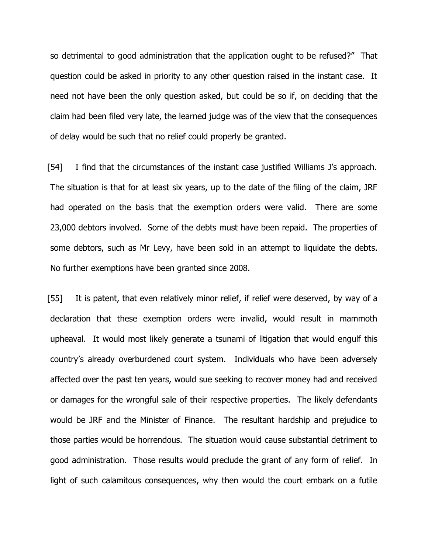so detrimental to good administration that the application ought to be refused?" That question could be asked in priority to any other question raised in the instant case. It need not have been the only question asked, but could be so if, on deciding that the claim had been filed very late, the learned judge was of the view that the consequences of delay would be such that no relief could properly be granted.

[54] I find that the circumstances of the instant case justified Williams J's approach. The situation is that for at least six years, up to the date of the filing of the claim, JRF had operated on the basis that the exemption orders were valid. There are some 23,000 debtors involved. Some of the debts must have been repaid. The properties of some debtors, such as Mr Levy, have been sold in an attempt to liquidate the debts. No further exemptions have been granted since 2008.

[55] It is patent, that even relatively minor relief, if relief were deserved, by way of a declaration that these exemption orders were invalid, would result in mammoth upheaval. It would most likely generate a tsunami of litigation that would engulf this country's already overburdened court system. Individuals who have been adversely affected over the past ten years, would sue seeking to recover money had and received or damages for the wrongful sale of their respective properties. The likely defendants would be JRF and the Minister of Finance. The resultant hardship and prejudice to those parties would be horrendous. The situation would cause substantial detriment to good administration. Those results would preclude the grant of any form of relief. In light of such calamitous consequences, why then would the court embark on a futile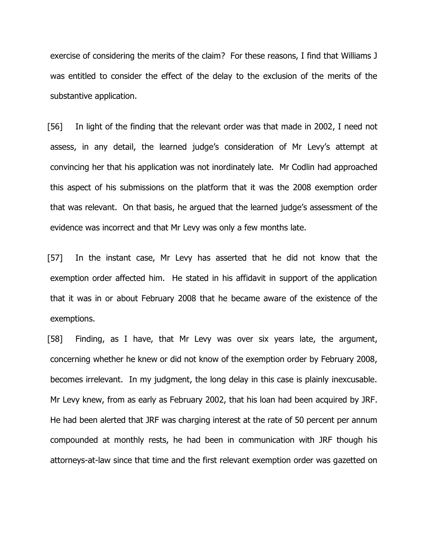exercise of considering the merits of the claim? For these reasons, I find that Williams J was entitled to consider the effect of the delay to the exclusion of the merits of the substantive application.

[56] In light of the finding that the relevant order was that made in 2002, I need not assess, in any detail, the learned judge's consideration of Mr Levy's attempt at convincing her that his application was not inordinately late. Mr Codlin had approached this aspect of his submissions on the platform that it was the 2008 exemption order that was relevant. On that basis, he argued that the learned judge's assessment of the evidence was incorrect and that Mr Levy was only a few months late.

[57] In the instant case, Mr Levy has asserted that he did not know that the exemption order affected him. He stated in his affidavit in support of the application that it was in or about February 2008 that he became aware of the existence of the exemptions.

[58] Finding, as I have, that Mr Levy was over six years late, the argument, concerning whether he knew or did not know of the exemption order by February 2008, becomes irrelevant. In my judgment, the long delay in this case is plainly inexcusable. Mr Levy knew, from as early as February 2002, that his loan had been acquired by JRF. He had been alerted that JRF was charging interest at the rate of 50 percent per annum compounded at monthly rests, he had been in communication with JRF though his attorneys-at-law since that time and the first relevant exemption order was gazetted on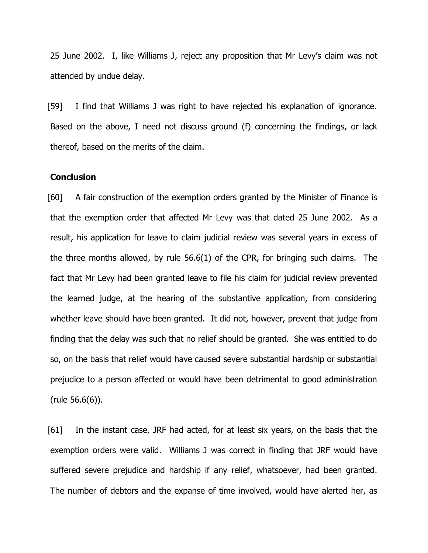25 June 2002. I, like Williams J, reject any proposition that Mr Levy's claim was not attended by undue delay.

[59] I find that Williams J was right to have rejected his explanation of ignorance. Based on the above, I need not discuss ground (f) concerning the findings, or lack thereof, based on the merits of the claim.

# **Conclusion**

[60] A fair construction of the exemption orders granted by the Minister of Finance is that the exemption order that affected Mr Levy was that dated 25 June 2002. As a result, his application for leave to claim judicial review was several years in excess of the three months allowed, by rule 56.6(1) of the CPR, for bringing such claims. The fact that Mr Levy had been granted leave to file his claim for judicial review prevented the learned judge, at the hearing of the substantive application, from considering whether leave should have been granted. It did not, however, prevent that judge from finding that the delay was such that no relief should be granted. She was entitled to do so, on the basis that relief would have caused severe substantial hardship or substantial prejudice to a person affected or would have been detrimental to good administration (rule 56.6(6)).

[61] In the instant case, JRF had acted, for at least six years, on the basis that the exemption orders were valid. Williams J was correct in finding that JRF would have suffered severe prejudice and hardship if any relief, whatsoever, had been granted. The number of debtors and the expanse of time involved, would have alerted her, as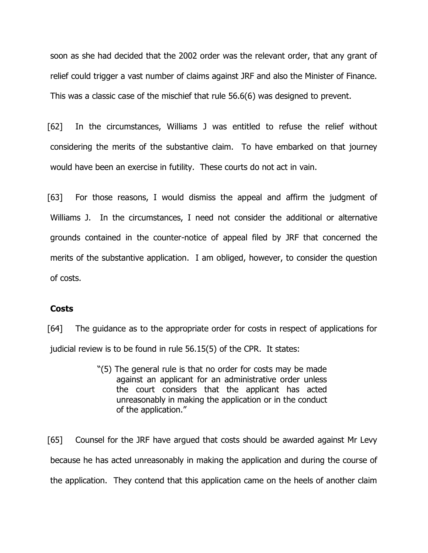soon as she had decided that the 2002 order was the relevant order, that any grant of relief could trigger a vast number of claims against JRF and also the Minister of Finance. This was a classic case of the mischief that rule 56.6(6) was designed to prevent.

[62] In the circumstances, Williams J was entitled to refuse the relief without considering the merits of the substantive claim. To have embarked on that journey would have been an exercise in futility. These courts do not act in vain.

[63] For those reasons, I would dismiss the appeal and affirm the judgment of Williams J. In the circumstances, I need not consider the additional or alternative grounds contained in the counter-notice of appeal filed by JRF that concerned the merits of the substantive application. I am obliged, however, to consider the question of costs.

#### **Costs**

[64] The guidance as to the appropriate order for costs in respect of applications for judicial review is to be found in rule 56.15(5) of the CPR. It states:

> "(5) The general rule is that no order for costs may be made against an applicant for an administrative order unless the court considers that the applicant has acted unreasonably in making the application or in the conduct of the application."

[65] Counsel for the JRF have argued that costs should be awarded against Mr Levy because he has acted unreasonably in making the application and during the course of the application. They contend that this application came on the heels of another claim